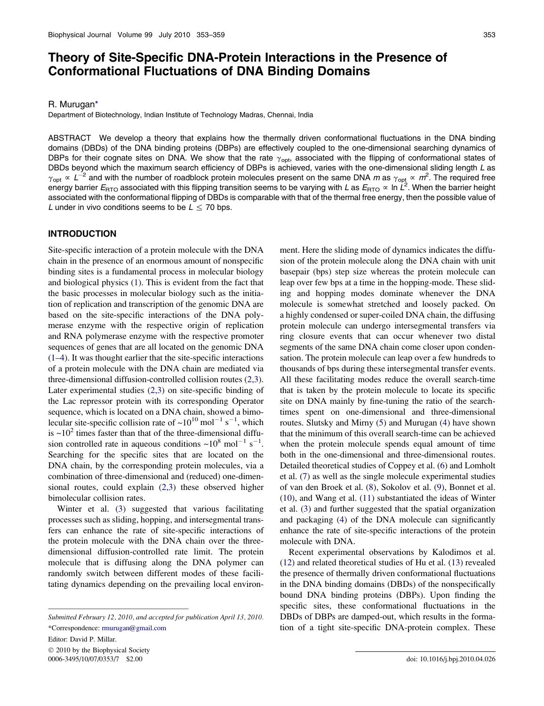# Theory of Site-Specific DNA-Protein Interactions in the Presence of Conformational Fluctuations of DNA Binding Domains

R. Murugan\*

Department of Biotechnology, Indian Institute of Technology Madras, Chennai, India

ABSTRACT We develop a theory that explains how the thermally driven conformational fluctuations in the DNA binding domains (DBDs) of the DNA binding proteins (DBPs) are effectively coupled to the one-dimensional searching dynamics of DBPs for their cognate sites on DNA. We show that the rate  $\gamma_{\rm opt}$ , associated with the flipping of conformational states of DBDs beyond which the maximum search efficiency of DBPs is achieved, varies with the one-dimensional sliding length L as  $\gamma_{\rm opt}\propto L^{-2}$  and with the number of roadblock protein molecules present on the same DNA m as  $\gamma_{\rm opt}\propto m^2$ . The required free energy barrier  $E_{\rm RTO}$  associated with this flipping transition seems to be varying with L as  $E_{\rm RTO}\propto$  In  $L^2$ . When the barrier height associated with the conformational flipping of DBDs is comparable with that of the thermal free energy, then the possible value of L under in vivo conditions seems to be  $L \le 70$  bps.

## INTRODUCTION

Site-specific interaction of a protein molecule with the DNA chain in the presence of an enormous amount of nonspecific binding sites is a fundamental process in molecular biology and biological physics ([1\)](#page-5-0). This is evident from the fact that the basic processes in molecular biology such as the initiation of replication and transcription of the genomic DNA are based on the site-specific interactions of the DNA polymerase enzyme with the respective origin of replication and RNA polymerase enzyme with the respective promoter sequences of genes that are all located on the genomic DNA ([1–4\)](#page-5-0). It was thought earlier that the site-specific interactions of a protein molecule with the DNA chain are mediated via three-dimensional diffusion-controlled collision routes [\(2,3\)](#page-5-0). Later experimental studies ([2,3](#page-5-0)) on site-specific binding of the Lac repressor protein with its corresponding Operator sequence, which is located on a DNA chain, showed a bimolecular site-specific collision rate of  $\sim 10^{10}$  mol<sup>-1</sup> s<sup>-1</sup>, which is  $\sim 10^2$  times faster than that of the three-dimensional diffusion controlled rate in aqueous conditions  $\sim 10^8$  mol<sup>-1</sup> s<sup>-1</sup>. Searching for the specific sites that are located on the DNA chain, by the corresponding protein molecules, via a combination of three-dimensional and (reduced) one-dimensional routes, could explain [\(2,3\)](#page-5-0) these observed higher bimolecular collision rates.

Winter et al. [\(3](#page-6-0)) suggested that various facilitating processes such as sliding, hopping, and intersegmental transfers can enhance the rate of site-specific interactions of the protein molecule with the DNA chain over the threedimensional diffusion-controlled rate limit. The protein molecule that is diffusing along the DNA polymer can randomly switch between different modes of these facilitating dynamics depending on the prevailing local environ-

Editor: David P. Millar.

 $© 2010$  by the Biophysical Society 0006-3495/10/07/0353/7 \$2.00 doi: 10.1016/j.bpj.2010.04.026

ment. Here the sliding mode of dynamics indicates the diffusion of the protein molecule along the DNA chain with unit basepair (bps) step size whereas the protein molecule can leap over few bps at a time in the hopping-mode. These sliding and hopping modes dominate whenever the DNA molecule is somewhat stretched and loosely packed. On a highly condensed or super-coiled DNA chain, the diffusing protein molecule can undergo intersegmental transfers via ring closure events that can occur whenever two distal segments of the same DNA chain come closer upon condensation. The protein molecule can leap over a few hundreds to thousands of bps during these intersegmental transfer events. All these facilitating modes reduce the overall search-time that is taken by the protein molecule to locate its specific site on DNA mainly by fine-tuning the ratio of the searchtimes spent on one-dimensional and three-dimensional routes. Slutsky and Mirny [\(5](#page-6-0)) and Murugan [\(4](#page-6-0)) have shown that the minimum of this overall search-time can be achieved when the protein molecule spends equal amount of time both in the one-dimensional and three-dimensional routes. Detailed theoretical studies of Coppey et al. [\(6](#page-6-0)) and Lomholt et al. ([7\)](#page-6-0) as well as the single molecule experimental studies of van den Broek et al. [\(8](#page-6-0)), Sokolov et al. ([9\)](#page-6-0), Bonnet et al. ([10\)](#page-6-0), and Wang et al. [\(11](#page-6-0)) substantiated the ideas of Winter et al. ([3\)](#page-6-0) and further suggested that the spatial organization and packaging ([4\)](#page-6-0) of the DNA molecule can significantly enhance the rate of site-specific interactions of the protein molecule with DNA.

Recent experimental observations by Kalodimos et al. ([12\)](#page-6-0) and related theoretical studies of Hu et al. [\(13](#page-6-0)) revealed the presence of thermally driven conformational fluctuations in the DNA binding domains (DBDs) of the nonspecifically bound DNA binding proteins (DBPs). Upon finding the specific sites, these conformational fluctuations in the DBDs of DBPs are damped-out, which results in the formation of a tight site-specific DNA-protein complex. These

Submitted February 12, 2010, and accepted for publication April 13, 2010. \*Correspondence: [rmurugan@gmail.com](mailto:rmurugan@gmail.com)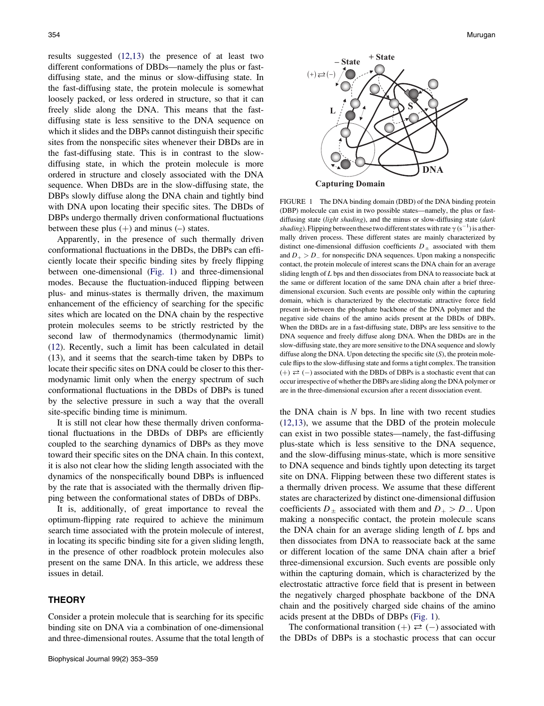results suggested [\(12,13\)](#page-6-0) the presence of at least two different conformations of DBDs—namely the plus or fastdiffusing state, and the minus or slow-diffusing state. In the fast-diffusing state, the protein molecule is somewhat loosely packed, or less ordered in structure, so that it can freely slide along the DNA. This means that the fastdiffusing state is less sensitive to the DNA sequence on which it slides and the DBPs cannot distinguish their specific sites from the nonspecific sites whenever their DBDs are in the fast-diffusing state. This is in contrast to the slowdiffusing state, in which the protein molecule is more ordered in structure and closely associated with the DNA sequence. When DBDs are in the slow-diffusing state, the DBPs slowly diffuse along the DNA chain and tightly bind with DNA upon locating their specific sites. The DBDs of DBPs undergo thermally driven conformational fluctuations between these plus  $(+)$  and minus  $(-)$  states.

Apparently, in the presence of such thermally driven conformational fluctuations in the DBDs, the DBPs can efficiently locate their specific binding sites by freely flipping between one-dimensional (Fig. 1) and three-dimensional modes. Because the fluctuation-induced flipping between plus- and minus-states is thermally driven, the maximum enhancement of the efficiency of searching for the specific sites which are located on the DNA chain by the respective protein molecules seems to be strictly restricted by the second law of thermodynamics (thermodynamic limit) ([12\)](#page-6-0). Recently, such a limit has been calculated in detail (13), and it seems that the search-time taken by DBPs to locate their specific sites on DNA could be closer to this thermodynamic limit only when the energy spectrum of such conformational fluctuations in the DBDs of DBPs is tuned by the selective pressure in such a way that the overall site-specific binding time is minimum.

It is still not clear how these thermally driven conformational fluctuations in the DBDs of DBPs are efficiently coupled to the searching dynamics of DBPs as they move toward their specific sites on the DNA chain. In this context, it is also not clear how the sliding length associated with the dynamics of the nonspecifically bound DBPs is influenced by the rate that is associated with the thermally driven flipping between the conformational states of DBDs of DBPs.

It is, additionally, of great importance to reveal the optimum-flipping rate required to achieve the minimum search time associated with the protein molecule of interest, in locating its specific binding site for a given sliding length, in the presence of other roadblock protein molecules also present on the same DNA. In this article, we address these issues in detail.

## **THEORY**

Consider a protein molecule that is searching for its specific binding site on DNA via a combination of one-dimensional and three-dimensional routes. Assume that the total length of



FIGURE 1 The DNA binding domain (DBD) of the DNA binding protein (DBP) molecule can exist in two possible states—namely, the plus or fastdiffusing state (*light shading*), and the minus or slow-diffusing state (*dark* shading). Flipping between these two different states with rate  $\gamma$  (s<sup>-1</sup>) is a thermally driven process. These different states are mainly characterized by distinct one-dimensional diffusion coefficients  $D_{\pm}$  associated with them and  $D_+$  >  $D_-$  for nonspecific DNA sequences. Upon making a nonspecific contact, the protein molecule of interest scans the DNA chain for an average sliding length of L bps and then dissociates from DNA to reassociate back at the same or different location of the same DNA chain after a brief threedimensional excursion. Such events are possible only within the capturing domain, which is characterized by the electrostatic attractive force field present in-between the phosphate backbone of the DNA polymer and the negative side chains of the amino acids present at the DBDs of DBPs. When the DBDs are in a fast-diffusing state, DBPs are less sensitive to the DNA sequence and freely diffuse along DNA. When the DBDs are in the slow-diffusing state, they are more sensitive to the DNA sequence and slowly diffuse along the DNA. Upon detecting the specific site  $(S)$ , the protein molecule flips to the slow-diffusing state and forms a tight complex. The transition  $(+) \rightleftarrows (-)$  associated with the DBDs of DBPs is a stochastic event that can occur irrespective of whether the DBPs are sliding along the DNA polymer or are in the three-dimensional excursion after a recent dissociation event.

the DNA chain is  $N$  bps. In line with two recent studies ([12,13](#page-6-0)), we assume that the DBD of the protein molecule can exist in two possible states—namely, the fast-diffusing plus-state which is less sensitive to the DNA sequence, and the slow-diffusing minus-state, which is more sensitive to DNA sequence and binds tightly upon detecting its target site on DNA. Flipping between these two different states is a thermally driven process. We assume that these different states are characterized by distinct one-dimensional diffusion coefficients  $D_{\pm}$  associated with them and  $D_{+} > D_{-}$ . Upon making a nonspecific contact, the protein molecule scans the DNA chain for an average sliding length of  $L$  bps and then dissociates from DNA to reassociate back at the same or different location of the same DNA chain after a brief three-dimensional excursion. Such events are possible only within the capturing domain, which is characterized by the electrostatic attractive force field that is present in between the negatively charged phosphate backbone of the DNA chain and the positively charged side chains of the amino acids present at the DBDs of DBPs (Fig. 1).

The conformational transition  $(+) \rightleftarrows (-)$  associated with the DBDs of DBPs is a stochastic process that can occur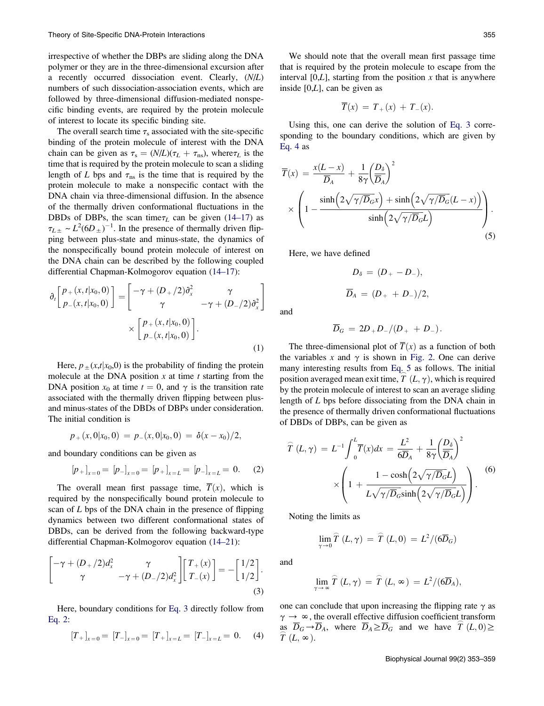irrespective of whether the DBPs are sliding along the DNA polymer or they are in the three-dimensional excursion after a recently occurred dissociation event. Clearly, (N/L) numbers of such dissociation-association events, which are followed by three-dimensional diffusion-mediated nonspecific binding events, are required by the protein molecule of interest to locate its specific binding site.

The overall search time  $\tau_s$  associated with the site-specific binding of the protein molecule of interest with the DNA chain can be given as  $\tau_s = (N/L)(\tau_L + \tau_{ns})$ , where  $\tau_L$  is the time that is required by the protein molecule to scan a sliding length of L bps and  $\tau_{ns}$  is the time that is required by the protein molecule to make a nonspecific contact with the DNA chain via three-dimensional diffusion. In the absence of the thermally driven conformational fluctuations in the DBDs of DBPs, the scan time  $\tau_L$  can be given [\(14–17](#page-6-0)) as  $\tau_{L\pm} \sim L^2 (6D_{\pm})^{-1}$ . In the presence of thermally driven flipping between plus-state and minus-state, the dynamics of the nonspecifically bound protein molecule of interest on the DNA chain can be described by the following coupled differential Chapman-Kolmogorov equation [\(14–17](#page-6-0)):

$$
\partial_t \begin{bmatrix} p_+(x, t | x_0, 0) \\ p_-(x, t | x_0, 0) \end{bmatrix} = \begin{bmatrix} -\gamma + (D_+/2) \partial_x^2 & \gamma \\ \gamma & -\gamma + (D_-/2) \partial_x^2 \end{bmatrix} \times \begin{bmatrix} p_+(x, t | x_0, 0) \\ p_-(x, t | x_0, 0) \end{bmatrix}.
$$
\n(1)

Here,  $p_{\pm}(x,t|x_0,0)$  is the probability of finding the protein molecule at the DNA position  $x$  at time  $t$  starting from the DNA position  $x_0$  at time  $t = 0$ , and  $\gamma$  is the transition rate associated with the thermally driven flipping between plusand minus-states of the DBDs of DBPs under consideration. The initial condition is

$$
p_{+}(x,0|x_0,0) = p_{-}(x,0|x_0,0) = \delta(x-x_0)/2,
$$

and boundary conditions can be given as

$$
[p_{+}]_{x=0} = [p_{-}]_{x=0} = [p_{+}]_{x=L} = [p_{-}]_{x=L} = 0.
$$
 (2)

The overall mean first passage time,  $\overline{T}(x)$ , which is required by the nonspecifically bound protein molecule to scan of L bps of the DNA chain in the presence of flipping dynamics between two different conformational states of DBDs, can be derived from the following backward-type differential Chapman-Kolmogorov equation [\(14–21](#page-6-0)):

$$
\begin{bmatrix} -\gamma + (D_+/2)d_x^2 & \gamma \\ \gamma & -\gamma + (D_-/2)d_x^2 \end{bmatrix} \begin{bmatrix} T_+(x) \\ T_-(x) \end{bmatrix} = -\begin{bmatrix} 1/2 \\ 1/2 \end{bmatrix}.
$$
\n(3)

Here, boundary conditions for Eq. 3 directly follow from Eq. 2:

$$
[T_{+}]_{x=0} = [T_{-}]_{x=0} = [T_{+}]_{x=L} = [T_{-}]_{x=L} = 0.
$$
 (4)

We should note that the overall mean first passage time that is required by the protein molecule to escape from the interval  $[0,L]$ , starting from the position x that is anywhere inside [0,L], can be given as

$$
\overline{T}(x) = T_+(x) + T_-(x).
$$

Using this, one can derive the solution of Eq. 3 corresponding to the boundary conditions, which are given by Eq. 4 as

$$
\overline{T}(x) = \frac{x(L-x)}{\overline{D}_A} + \frac{1}{8\gamma} \left(\frac{D_\delta}{\overline{D}_A}\right)^2
$$

$$
\times \left(1 - \frac{\sinh\left(2\sqrt{\gamma/\overline{D}_G}x\right) + \sinh\left(2\sqrt{\gamma/\overline{D}_G}(L-x)\right)}{\sinh\left(2\sqrt{\gamma/\overline{D}_G}L\right)}\right). \tag{5}
$$

Here, we have defined

$$
D_{\delta} = (D_{+} - D_{-}),
$$
  

$$
\overline{D}_{A} = (D_{+} + D_{-})/2,
$$

and

$$
\overline{D}_G = 2D_+D_-/(D_+ + D_-).
$$

The three-dimensional plot of  $\overline{T}(x)$  as a function of both the variables x and  $\gamma$  is shown in [Fig. 2](#page-3-0). One can derive many interesting results from Eq. 5 as follows. The initial position averaged mean exit time,  $T(L, \gamma)$ , which is required by the protein molecule of interest to scan an average sliding length of L bps before dissociating from the DNA chain in the presence of thermally driven conformational fluctuations of DBDs of DBPs, can be given as

$$
\widehat{T}(L,\gamma) = L^{-1} \int_0^L \overline{T}(x) dx = \frac{L^2}{6\overline{D}_A} + \frac{1}{8\gamma} \left(\frac{D_\delta}{\overline{D}_A}\right)^2
$$

$$
\times \left(1 + \frac{1 - \cosh\left(2\sqrt{\gamma/\overline{D}_G}L\right)}{L\sqrt{\gamma/\overline{D}_G} \sinh\left(2\sqrt{\gamma/\overline{D}_G}L\right)}\right). \tag{6}
$$

Noting the limits as

$$
\lim_{\gamma \to 0} \widehat{T}(L, \gamma) = \widehat{T}(L, 0) = L^2/({6\overline{D}_G})
$$

and

$$
\lim_{\gamma \to \infty} \widehat{T}(L, \gamma) = \widehat{T}(L, \infty) = L^2/(\widehat{6D}_A),
$$

one can conclude that upon increasing the flipping rate  $\gamma$  as  $\gamma \rightarrow \infty$ , the overall effective diffusion coefficient transform as  $\overline{D}_G \rightarrow \overline{D}_A$ , where  $\overline{D}_A \ge \overline{D}_G$  and we have  $\overline{T}(L,0) \ge$  $T(L, \infty)$ .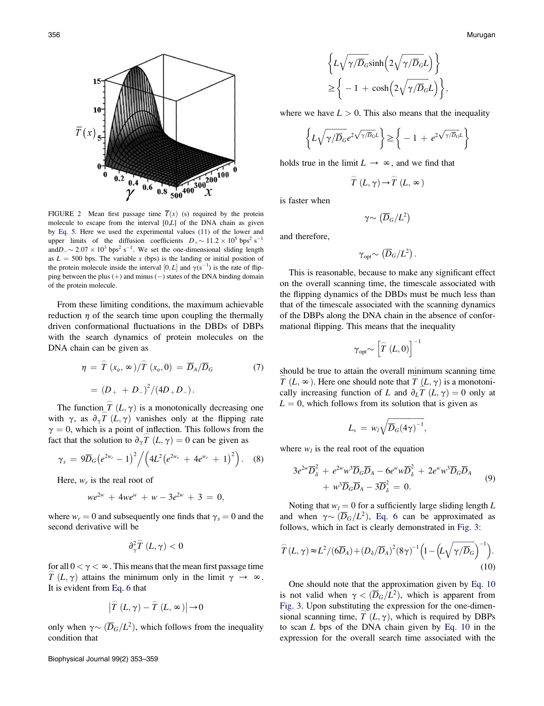<span id="page-3-0"></span>

FIGURE 2 Mean first passage time  $\overline{T}(x)$  (s) required by the protein molecule to escape from the interval [0,L] of the DNA chain as given by Eq. 5. Here we used the experimental values [\(11](#page-6-0)) of the lower and upper limits of the diffusion coefficients  $D_+ \sim 11.2 \times 10^5$  bps<sup>2</sup> s<sup>-1</sup> and  $D_{\text{1}} \sim 2.07 \times 10^3$  bps<sup>2</sup> s<sup>-1</sup>. We set the one-dimensional sliding length as  $L = 500$  bps. The variable x (bps) is the landing or initial position of the protein molecule inside the interval  $[0, L]$  and  $\gamma(s^{-1})$  is the rate of flipping between the plus  $(+)$  and minus  $(-)$  states of the DNA binding domain of the protein molecule.

From these limiting conditions, the maximum achievable reduction  $\eta$  of the search time upon coupling the thermally driven conformational fluctuations in the DBDs of DBPs with the search dynamics of protein molecules on the DNA chain can be given as

$$
\eta = \widehat{T}(x_a, \infty)/\widehat{T}(x_a, 0) = \overline{D}_A/\overline{D}_G \tag{7}
$$

$$
= (D_+ + D_-)^2/(4D_+D_-).
$$

The function  $\hat{T}(L,\gamma)$  is a monotonically decreasing one with  $\gamma$ , as  $\partial_{\gamma} \hat{T}(L, \gamma)$  vanishes only at the flipping rate  $\gamma = 0$ , which is a point of inflection. This follows from the fact that the solution to  $\partial_{\gamma}T(L, \gamma) = 0$  can be given as

$$
\gamma_{s} = 9\overline{D}_{G}(e^{2w_{r}}-1)^{2}/(4L^{2}(e^{2w_{r}}+4e^{w_{r}}+1)^{2}).
$$
 (8)

Here,  $w_r$  is the real root of

$$
we^{2w} + 4we^{w} + w - 3e^{2w} + 3 = 0,
$$

where  $w_r = 0$  and subsequently one finds that  $\gamma_s = 0$  and the second derivative will be

$$
\partial_\gamma^2 \widehat T\ (L,\gamma) < 0
$$

for all  $0 < \gamma < \infty$ . This means that the mean first passage time  $\overline{T}(L,\gamma)$  attains the minimum only in the limit  $\gamma \to \infty$ . It is evident from Eq. 6 that

$$
\left|\widehat{T}\left(L,\gamma\right)-\widehat{T}\left(L,\infty\right)\right|\to0
$$

only when  $\gamma \sim (\overline{D}_G/L^2)$ , which follows from the inequality condition that

Biophysical Journal 99(2) 353–359

$$
\left\{ L\sqrt{\gamma/\overline{D}_G}\sinh\left(2\sqrt{\gamma/\overline{D}_G}L\right)\right\}
$$
  

$$
\geq \left\{-1 + \cosh\left(2\sqrt{\gamma/\overline{D}_G}L\right)\right\},\right.
$$

where we have  $L > 0$ . This also means that the inequality

$$
\left\{ L\sqrt{\gamma/\overline{D}_G}e^{2\sqrt{\gamma/\overline{D}_G}L} \right\} \ge \left\{ -1 + e^{2\sqrt{\gamma/\overline{D}_G}L} \right\}
$$

holds true in the limit  $L \rightarrow \infty$ , and we find that

$$
\widehat{T}(L,\gamma) \to \widehat{T}(L,\infty)
$$

is faster when

$$
\gamma{\sim}\left(\overline{D}_{G}/L^{2}\right)
$$

and therefore,

$$
\gamma_{\rm opt} \sim \left( \overline{D}_G / L^2 \right).
$$

This is reasonable, because to make any significant effect on the overall scanning time, the timescale associated with the flipping dynamics of the DBDs must be much less than that of the timescale associated with the scanning dynamics of the DBPs along the DNA chain in the absence of conformational flipping. This means that the inequality

$$
\gamma_{\rm opt}{\sim}\left[\widehat{\boldsymbol{T}}\left(\boldsymbol{L},\boldsymbol{0}\right)\right]^{-1}
$$

should be true to attain the overall minimum scanning time  $T(L, \infty)$ . Here one should note that  $T(L, \gamma)$  is a monotonically increasing function of L and  $\partial_L T(L, \gamma) = 0$  only at  $L = 0$ , which follows from its solution that is given as

$$
L_s = w_l \sqrt{\overline{D}_G (4\gamma)^{-1}},
$$

where  $w_l$  is the real root of the equation

$$
3e^{2w}\overline{D}_{\delta}^2 + e^{2w}w^3\overline{D}_{G}\overline{D}_{A} - 6e^{w}w\overline{D}_{\delta}^2 + 2e^{w}w^3\overline{D}_{G}\overline{D}_{A} + w^3\overline{D}_{G}\overline{D}_{A} - 3\overline{D}_{\delta}^2 = 0.
$$
 (9)

Noting that  $w_l = 0$  for a sufficiently large sliding length L and when  $\gamma \sim (\overline{D}_G/L^2)$ , Eq. 6 can be approximated as follows, which in fact is clearly demonstrated in [Fig. 3:](#page-4-0)

$$
\widehat{T}(L,\gamma) \approx L^2/({6\overline{D}_A}) + (D_\delta/\overline{D}_A)^2 (8\gamma)^{-1} \Big(1 - \Big(L\sqrt{\gamma/\overline{D}_G}\Big)^{-1}\Big).
$$
\n(10)

One should note that the approximation given by Eq. 10 is not valid when  $\gamma < (\overline{D}_G/L^2)$ , which is apparent from [Fig. 3](#page-4-0). Upon substituting the expression for the one-dimensional scanning time,  $T(L, \gamma)$ , which is required by DBPs to scan L bps of the DNA chain given by Eq. 10 in the expression for the overall search time associated with the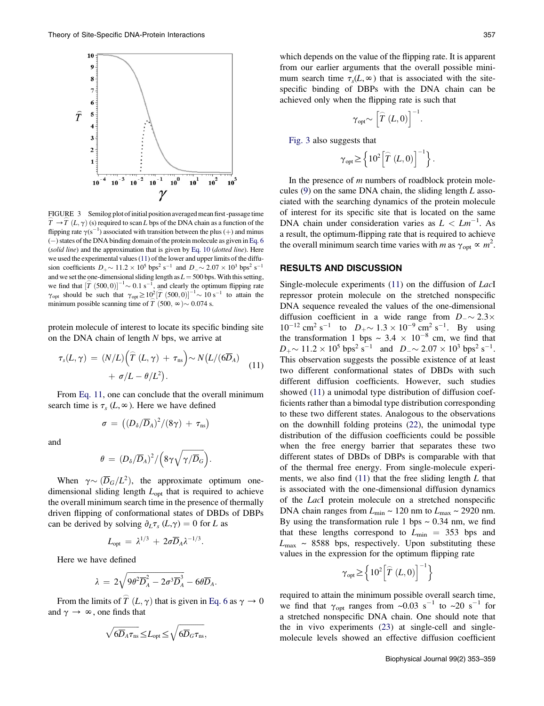<span id="page-4-0"></span>

FIGURE 3 Semilog plot of initial position averaged mean first-passage time  $T \rightarrow \hat{T}$   $(L, \gamma)$  (s) required to scan L bps of the DNA chain as a function of the flipping rate  $\gamma(s^{-1})$  associated with transition between the plus (+) and minus (-) states of the DNA binding domain of the protein molecule as given in Eq. 6 (solid line) and the approximation that is given by Eq. 10 (dotted line). Here we used the experimental values [\(11\)](#page-6-0) of the lower and upper limits of the diffusion coefficients  $D_{+} \sim 11.2 \times 10^5$  bps<sup>2</sup> s<sup>-1</sup> and  $D_{-} \sim 2.07 \times 10^3$  bps<sup>2</sup> s<sup>-1</sup> and we set the one-dimensional sliding length as  $L = 500$  bps. With this setting, we find that  $[\hat{T}(500,0)]^{-1} \sim 0.1 \text{ s}^{-1}$ , and clearly the optimum flipping rate  $\gamma_{\text{opt}}$  should be such that  $\gamma_{\text{opt}} \ge 10^2 [T (500, 0)]^{-1} \sim 10 \text{ s}^{-1}$  to attain the minimum possible scanning time of T  $(500, \infty)$  ~ 0.074 s.

protein molecule of interest to locate its specific binding site on the DNA chain of length N bps, we arrive at

$$
\tau_s(L,\gamma) = (N/L) \Big( \widehat{T}(L,\gamma) + \tau_{\text{ns}} \Big) \sim N(L/(6\overline{D}_A) + \sigma/L - \theta/L^2).
$$
 (11)

From Eq. 11, one can conclude that the overall minimum search time is  $\tau_s$  (*L*,  $\infty$ ). Here we have defined

$$
\sigma\,=\,\big((D_{\delta}/\overline{D}_{A})^{2}/(8\gamma)\,+\,\tau_{\text{ns}}\big)
$$

and

$$
\theta = (D_{\delta}/\overline{D}_{A})^{2} / (8\gamma\sqrt{\gamma/\overline{D}_{G}}).
$$

When  $\gamma \sim (\overline{D}_G/L^2)$ , the approximate optimum onedimensional sliding length  $L_{opt}$  that is required to achieve the overall minimum search time in the presence of thermally driven flipping of conformational states of DBDs of DBPs can be derived by solving  $\partial_L \tau_s (L, \gamma) = 0$  for L as

$$
L_{\rm opt} = \lambda^{1/3} + 2\sigma \overline{D}_A \lambda^{-1/3}.
$$

Here we have defined

$$
\lambda\,=\,2\sqrt{9\theta^2\overline{D}_A^2-2\sigma^3\overline{D}_A^3}-6\theta\overline{D}_A.
$$

From the limits of  $\hat{T}(L,\gamma)$  that is given in Eq. 6 as  $\gamma \to 0$ and  $\gamma \to \infty$ , one finds that

$$
\sqrt{6\overline{D}_A\tau_{\rm ns}}\!\leq\! L_{\rm opt}\!\leq\!\sqrt{6\overline{D}_G\tau_{\rm ns}},
$$

which depends on the value of the flipping rate. It is apparent from our earlier arguments that the overall possible minimum search time  $\tau_s(L,\infty)$  that is associated with the sitespecific binding of DBPs with the DNA chain can be achieved only when the flipping rate is such that

$$
\gamma_{opt}{\sim \left[ \widehat{T}\left( L,0\right) \right] ^{-1}}.
$$

Fig. 3 also suggests that

$$
\gamma_{\rm opt}\!\ge\!\Big\{10^2\Big[\widehat T\,\,(L,0)\Big]^{-1}\Big\}\,.
$$

In the presence of  $m$  numbers of roadblock protein molecules  $(9)$  $(9)$  on the same DNA chain, the sliding length L associated with the searching dynamics of the protein molecule of interest for its specific site that is located on the same DNA chain under consideration varies as  $L < Lm^{-1}$ . As a result, the optimum-flipping rate that is required to achieve the overall minimum search time varies with *m* as  $\gamma_{\text{opt}} \propto m^2$ .

### RESULTS AND DISCUSSION

Single-molecule experiments ([11\)](#page-6-0) on the diffusion of LacI repressor protein molecule on the stretched nonspecific DNA sequence revealed the values of the one-dimensional diffusion coefficient in a wide range from  $D_{-\infty}$  2.3 $\times$  $10^{-12}$  cm<sup>2</sup> s<sup>-1</sup> to  $D_+ \sim 1.3 \times 10^{-9}$  cm<sup>2</sup> s<sup>-1</sup>. By using the transformation 1 bps  $\sim 3.4 \times 10^{-8}$  cm, we find that  $D_+ \sim 11.2 \times 10^5$  bps<sup>2</sup> s<sup>-1</sup> and  $D_- \sim 2.07 \times 10^3$  bps<sup>2</sup> s<sup>-1</sup>. This observation suggests the possible existence of at least two different conformational states of DBDs with such different diffusion coefficients. However, such studies showed ([11](#page-6-0)) a unimodal type distribution of diffusion coefficients rather than a bimodal type distribution corresponding to these two different states. Analogous to the observations on the downhill folding proteins ([22\)](#page-6-0), the unimodal type distribution of the diffusion coefficients could be possible when the free energy barrier that separates these two different states of DBDs of DBPs is comparable with that of the thermal free energy. From single-molecule experiments, we also find  $(11)$  $(11)$  that the free sliding length  $L$  that is associated with the one-dimensional diffusion dynamics of the LacI protein molecule on a stretched nonspecific DNA chain ranges from  $L_{\text{min}} \sim 120$  nm to  $L_{\text{max}} \sim 2920$  nm. By using the transformation rule 1 bps  $\sim 0.34$  nm, we find that these lengths correspond to  $L_{\text{min}} = 353$  bps and  $L_{\text{max}} \sim 8588$  bps, respectively. Upon substituting these values in the expression for the optimum flipping rate

$$
\gamma_{\rm opt}\!\ge\!\Big\{10^2\Big[\widehat{\cal T}\,\left(L,0\right)\Big]^{-1}\Big\}
$$

required to attain the minimum possible overall search time, we find that  $\gamma_{\text{opt}}$  ranges from ~0.03 s<sup>-1</sup> to ~20 s<sup>-1</sup> for a stretched nonspecific DNA chain. One should note that the in vivo experiments [\(23](#page-6-0)) at single-cell and singlemolecule levels showed an effective diffusion coefficient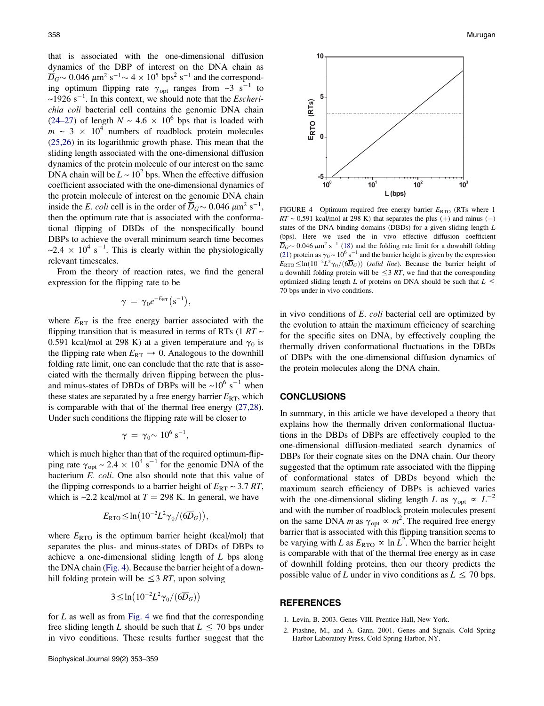<span id="page-5-0"></span>that is associated with the one-dimensional diffusion dynamics of the DBP of interest on the DNA chain as  $\overline{D}_G$   $\sim$  0.046  $\mu$ m<sup>2</sup> s<sup>-1</sup>  $\sim$  4  $\times$  10<sup>5</sup> bps<sup>2</sup> s<sup>-1</sup> and the corresponding optimum flipping rate  $\gamma_{opt}$  ranges from ~3 s<sup>-1</sup> to  $\sim$ 1926 s<sup>-1</sup>. In this context, we should note that the *Escheri*chia coli bacterial cell contains the genomic DNA chain ([24–27\)](#page-6-0) of length  $N \sim 4.6 \times 10^6$  bps that is loaded with  $m \sim 3 \times 10^4$  numbers of roadblock protein molecules ([25,26](#page-6-0)) in its logarithmic growth phase. This mean that the sliding length associated with the one-dimensional diffusion dynamics of the protein molecule of our interest on the same DNA chain will be  $L \sim 10^2$  bps. When the effective diffusion coefficient associated with the one-dimensional dynamics of the protein molecule of interest on the genomic DNA chain inside the *E*. *coli* cell is in the order of  $\overline{D}_G$   $\sim 0.046 \ \mu \text{m}^2 \text{ s}^{-1}$ , then the optimum rate that is associated with the conformational flipping of DBDs of the nonspecifically bound DBPs to achieve the overall minimum search time becomes  $\sim$ 2.4  $\times$  10<sup>4</sup> s<sup>-1</sup>. This is clearly within the physiologically relevant timescales.

From the theory of reaction rates, we find the general expression for the flipping rate to be

$$
\gamma\,=\,\gamma_0\textit{e}^{-\textit{E}_{RT}}\big(s^{-1}\big),
$$

where  $E_{RT}$  is the free energy barrier associated with the flipping transition that is measured in terms of RTs  $(1 RT \sim$ 0.591 kcal/mol at 298 K) at a given temperature and  $\gamma_0$  is the flipping rate when  $E_{RT} \rightarrow 0$ . Analogous to the downhill folding rate limit, one can conclude that the rate that is associated with the thermally driven flipping between the plusand minus-states of DBDs of DBPs will be  $\sim 10^6$  s<sup>-1</sup> when these states are separated by a free energy barrier  $E_{\rm RT}$ , which is comparable with that of the thermal free energy [\(27,28\)](#page-6-0). Under such conditions the flipping rate will be closer to

$$
\gamma = \gamma_0 \sim 10^6 \text{ s}^{-1},
$$

which is much higher than that of the required optimum-flipping rate  $\gamma_{\text{opt}} \sim 2.4 \times 10^4 \text{ s}^{-1}$  for the genomic DNA of the bacterium E. coli. One also should note that this value of the flipping corresponds to a barrier height of  $E_{\rm RT} \sim 3.7 RT$ , which is  $\sim$ 2.2 kcal/mol at  $T = 298$  K. In general, we have

$$
E_{\rm RTO}\!\leq\!\ln\!\left(10^{-2}L^2\gamma_0/(6\overline{D}_G)\right),
$$

where  $E_{\text{RTO}}$  is the optimum barrier height (kcal/mol) that separates the plus- and minus-states of DBDs of DBPs to achieve a one-dimensional sliding length of L bps along the DNA chain (Fig. 4). Because the barrier height of a downhill folding protein will be  $\leq$  3 RT, upon solving

$$
3 \leq \ln\left(10^{-2}L^2\gamma_0/(6\overline{D}_G)\right)
$$

for  $L$  as well as from Fig. 4 we find that the corresponding free sliding length L should be such that  $L \leq 70$  bps under in vivo conditions. These results further suggest that the



FIGURE 4 Optimum required free energy barrier  $E_{\text{RTO}}$  (RTs where 1  $RT \sim 0.591$  kcal/mol at 298 K) that separates the plus (+) and minus (-) states of the DNA binding domains (DBDs) for a given sliding length L (bps). Here we used the in vivo effective diffusion coefficient  $\overline{D}_G$   $\sim$  0.046  $\mu$ m<sup>2</sup> s<sup>-1</sup> ([18\)](#page-6-0) and the folding rate limit for a downhill folding [\(21\)](#page-6-0) protein as  $\gamma_0 \sim 10^6 \text{ s}^{-1}$  and the barrier height is given by the expression  $E_{\rm RTO} \leq \ln(10^{-2}L^2\gamma_0/6\overline{D}_G)$  (solid line). Because the barrier height of a downhill folding protein will be  $\leq$  3 RT, we find that the corresponding optimized sliding length L of proteins on DNA should be such that  $L \leq$ 70 bps under in vivo conditions.

in vivo conditions of  $E$ . *coli* bacterial cell are optimized by the evolution to attain the maximum efficiency of searching for the specific sites on DNA, by effectively coupling the thermally driven conformational fluctuations in the DBDs of DBPs with the one-dimensional diffusion dynamics of the protein molecules along the DNA chain.

### **CONCLUSIONS**

In summary, in this article we have developed a theory that explains how the thermally driven conformational fluctuations in the DBDs of DBPs are effectively coupled to the one-dimensional diffusion-mediated search dynamics of DBPs for their cognate sites on the DNA chain. Our theory suggested that the optimum rate associated with the flipping of conformational states of DBDs beyond which the maximum search efficiency of DBPs is achieved varies with the one-dimensional sliding length L as  $\gamma_{\text{opt}} \propto L^{-2}$ and with the number of roadblock protein molecules present on the same DNA *m* as  $\gamma_{opt} \propto m^2$ . The required free energy barrier that is associated with this flipping transition seems to be varying with L as  $E_{\text{RTO}} \propto \ln L^2$ . When the barrier height is comparable with that of the thermal free energy as in case of downhill folding proteins, then our theory predicts the possible value of L under in vivo conditions as  $L \leq 70$  bps.

#### **REFERENCES**

- 1. Levin, B. 2003. Genes VIII. Prentice Hall, New York.
- 2. Ptashne, M., and A. Gann. 2001. Genes and Signals. Cold Spring Harbor Laboratory Press, Cold Spring Harbor, NY.